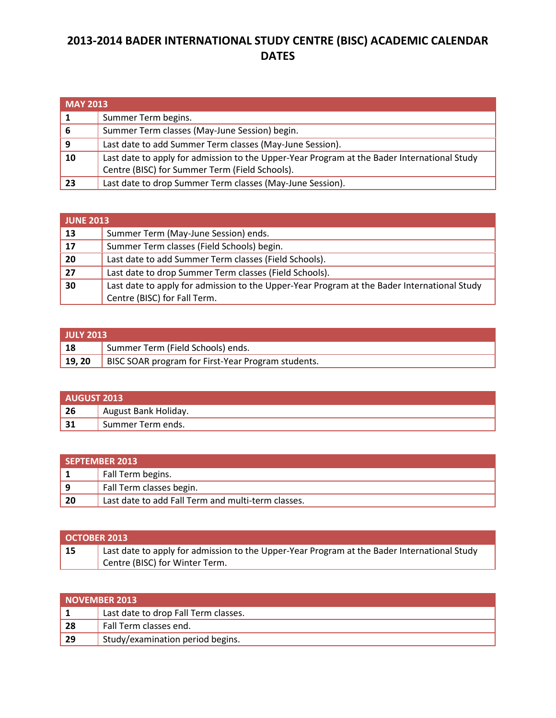## **2013-2014 BADER INTERNATIONAL STUDY CENTRE (BISC) ACADEMIC CALENDAR DATES**

|    | <b>MAY 2013</b>                                                                                                                               |  |
|----|-----------------------------------------------------------------------------------------------------------------------------------------------|--|
|    | Summer Term begins.                                                                                                                           |  |
| -6 | Summer Term classes (May-June Session) begin.                                                                                                 |  |
| 9  | Last date to add Summer Term classes (May-June Session).                                                                                      |  |
| 10 | Last date to apply for admission to the Upper-Year Program at the Bader International Study<br>Centre (BISC) for Summer Term (Field Schools). |  |
| 23 | Last date to drop Summer Term classes (May-June Session).                                                                                     |  |

| <b>JUNE 2013</b> |                                                                                             |
|------------------|---------------------------------------------------------------------------------------------|
| 13               | Summer Term (May-June Session) ends.                                                        |
| 17               | Summer Term classes (Field Schools) begin.                                                  |
| 20               | Last date to add Summer Term classes (Field Schools).                                       |
| 27               | Last date to drop Summer Term classes (Field Schools).                                      |
| 30               | Last date to apply for admission to the Upper-Year Program at the Bader International Study |
|                  | Centre (BISC) for Fall Term.                                                                |

| <b>JULY 2013</b> |                                                           |
|------------------|-----------------------------------------------------------|
| 18               | Summer Term (Field Schools) ends.                         |
| 19, 20           | <b>BISC SOAR program for First-Year Program students.</b> |

| AUGUST 2013 |                      |
|-------------|----------------------|
| $\vert$ 26  | August Bank Holiday. |
| 31          | Summer Term ends.    |

| SEPTEMBER 2013 |                                                    |
|----------------|----------------------------------------------------|
|                | Fall Term begins.                                  |
| l 9            | Fall Term classes begin.                           |
| 20             | Last date to add Fall Term and multi-term classes. |

| <b>OCTOBER 2013</b> |                                                                                             |
|---------------------|---------------------------------------------------------------------------------------------|
| 15                  | Last date to apply for admission to the Upper-Year Program at the Bader International Study |
|                     | Centre (BISC) for Winter Term.                                                              |

| NOVEMBER 2013 |                                      |
|---------------|--------------------------------------|
|               | Last date to drop Fall Term classes. |
| $\vert$ 28    | Fall Term classes end.               |
| $\vert$ 29    | Study/examination period begins.     |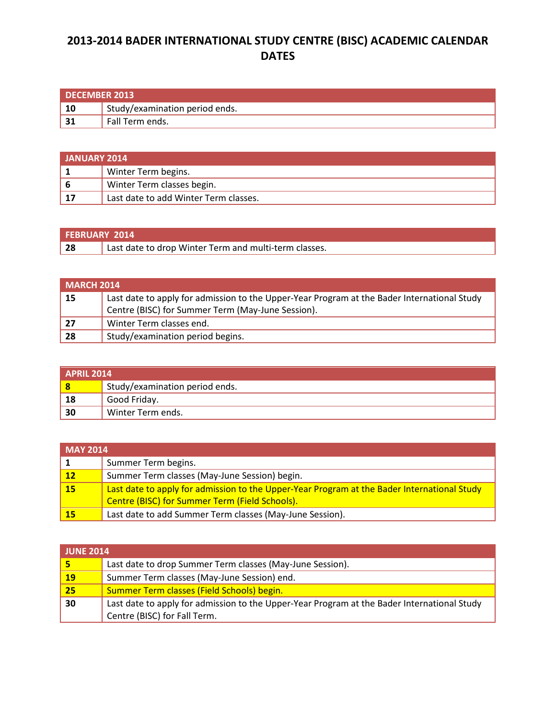## **2013-2014 BADER INTERNATIONAL STUDY CENTRE (BISC) ACADEMIC CALENDAR DATES**

| DECEMBER 2013 |                                       |
|---------------|---------------------------------------|
| -10           | <b>Study/examination period ends.</b> |
| 1 21          | Fall Term ends.                       |

| <b>JANUARY 2014</b> |                                       |
|---------------------|---------------------------------------|
|                     | Winter Term begins.                   |
|                     | Winter Term classes begin.            |
| 17                  | Last date to add Winter Term classes. |

| <b>FEBRUARY 2014</b> |                                                         |
|----------------------|---------------------------------------------------------|
| 28                   | ' Last date to drop Winter Term and multi-term classes. |

| <b>MARCH 2014</b> |                                                                                             |
|-------------------|---------------------------------------------------------------------------------------------|
| 15                | Last date to apply for admission to the Upper-Year Program at the Bader International Study |
|                   | Centre (BISC) for Summer Term (May-June Session).                                           |
| 27                | Winter Term classes end.                                                                    |
| 28                | Study/examination period begins.                                                            |

| <b>APRIL 2014</b> |                                |
|-------------------|--------------------------------|
| 8                 | Study/examination period ends. |
| 18                | Good Friday.                   |
| 30                | Winter Term ends.              |

| $MAY$ 2014  |                                                                                             |
|-------------|---------------------------------------------------------------------------------------------|
|             | Summer Term begins.                                                                         |
| $\sqrt{12}$ | Summer Term classes (May-June Session) begin.                                               |
| 15          | Last date to apply for admission to the Upper-Year Program at the Bader International Study |
|             | Centre (BISC) for Summer Term (Field Schools).                                              |
| 15          | Last date to add Summer Term classes (May-June Session).                                    |

| <b>JUNE 2014</b> |                                                                                             |  |
|------------------|---------------------------------------------------------------------------------------------|--|
|                  | Last date to drop Summer Term classes (May-June Session).                                   |  |
| <b>19</b>        | Summer Term classes (May-June Session) end.                                                 |  |
| 25 <sub>l</sub>  | Summer Term classes (Field Schools) begin.                                                  |  |
| 30               | Last date to apply for admission to the Upper-Year Program at the Bader International Study |  |
|                  | Centre (BISC) for Fall Term.                                                                |  |